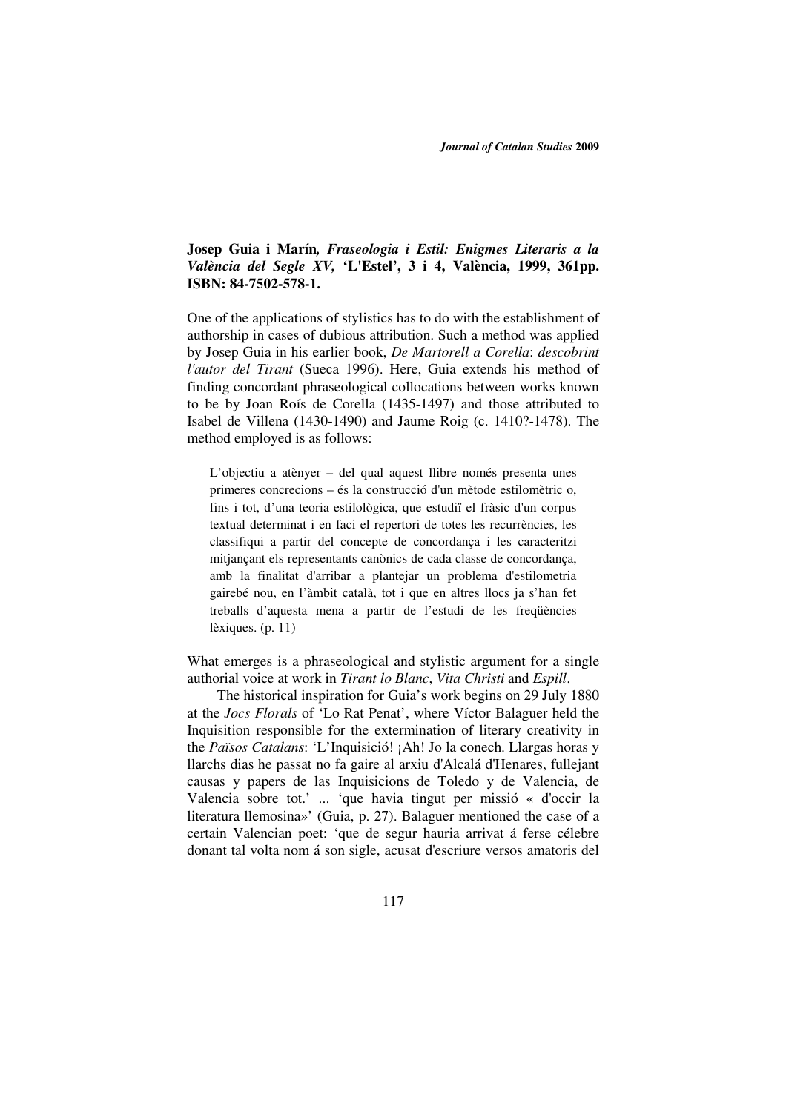## **Josep Guia i Marín***, Fraseologia i Estil: Enigmes Literaris a la València del Segle XV,* **'L'Estel', 3 i 4, València, 1999, 361pp. ISBN: 84-7502-578-1.**

One of the applications of stylistics has to do with the establishment of authorship in cases of dubious attribution. Such a method was applied by Josep Guia in his earlier book, *De Martorell a Corella*: *descobrint l'autor del Tirant* (Sueca 1996). Here, Guia extends his method of finding concordant phraseological collocations between works known to be by Joan Roís de Corella (1435-1497) and those attributed to Isabel de Villena (1430-1490) and Jaume Roig (c. 1410?-1478). The method employed is as follows:

L'objectiu a atènyer – del qual aquest llibre només presenta unes primeres concrecions – és la construcció d'un mètode estilomètric o, fins i tot, d'una teoria estilològica, que estudiï el fràsic d'un corpus textual determinat i en faci el repertori de totes les recurrències, les classifiqui a partir del concepte de concordança i les caracteritzi mitjançant els representants canònics de cada classe de concordança, amb la finalitat d'arribar a plantejar un problema d'estilometria gairebé nou, en l'àmbit català, tot i que en altres llocs ja s'han fet treballs d'aquesta mena a partir de l'estudi de les freqüències lèxiques. (p. 11)

What emerges is a phraseological and stylistic argument for a single authorial voice at work in *Tirant lo Blanc*, *Vita Christi* and *Espill*.

 The historical inspiration for Guia's work begins on 29 July 1880 at the *Jocs Florals* of 'Lo Rat Penat', where Víctor Balaguer held the Inquisition responsible for the extermination of literary creativity in the *Països Catalans*: 'L'Inquisició! ¡Ah! Jo la conech. Llargas horas y llarchs dias he passat no fa gaire al arxiu d'Alcalá d'Henares, fullejant causas y papers de las Inquisicions de Toledo y de Valencia, de Valencia sobre tot.' ... 'que havia tingut per missió « d'occir la literatura llemosina»' (Guia, p. 27). Balaguer mentioned the case of a certain Valencian poet: 'que de segur hauria arrivat á ferse célebre donant tal volta nom á son sigle, acusat d'escriure versos amatoris del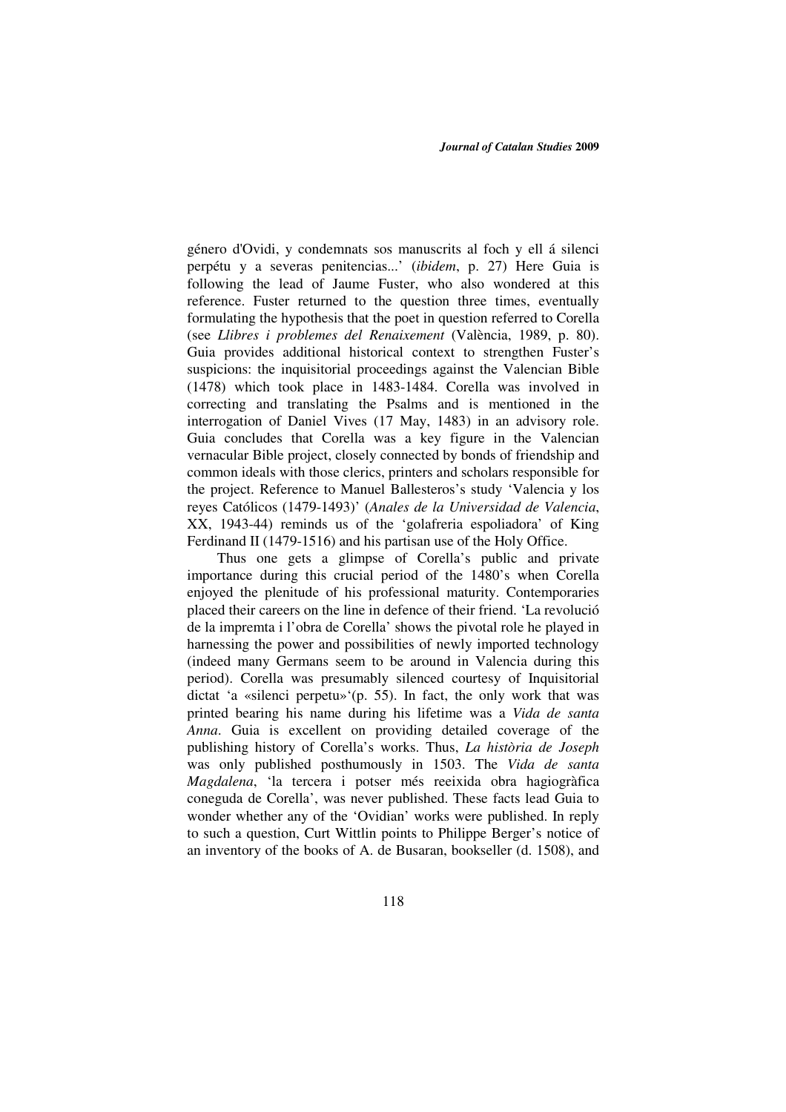género d'Ovidi, y condemnats sos manuscrits al foch y ell á silenci perpétu y a severas penitencias...' (*ibidem*, p. 27) Here Guia is following the lead of Jaume Fuster, who also wondered at this reference. Fuster returned to the question three times, eventually formulating the hypothesis that the poet in question referred to Corella (see *Llibres i problemes del Renaixement* (València, 1989, p. 80). Guia provides additional historical context to strengthen Fuster's suspicions: the inquisitorial proceedings against the Valencian Bible (1478) which took place in 1483-1484. Corella was involved in correcting and translating the Psalms and is mentioned in the interrogation of Daniel Vives (17 May, 1483) in an advisory role. Guia concludes that Corella was a key figure in the Valencian vernacular Bible project, closely connected by bonds of friendship and common ideals with those clerics, printers and scholars responsible for the project. Reference to Manuel Ballesteros's study 'Valencia y los reyes Católicos (1479-1493)' (*Anales de la Universidad de Valencia*, XX, 1943-44) reminds us of the 'golafreria espoliadora' of King Ferdinand II (1479-1516) and his partisan use of the Holy Office.

 Thus one gets a glimpse of Corella's public and private importance during this crucial period of the 1480's when Corella enjoyed the plenitude of his professional maturity. Contemporaries placed their careers on the line in defence of their friend. 'La revolució de la impremta i l'obra de Corella' shows the pivotal role he played in harnessing the power and possibilities of newly imported technology (indeed many Germans seem to be around in Valencia during this period). Corella was presumably silenced courtesy of Inquisitorial dictat 'a «silenci perpetu»'(p. 55). In fact, the only work that was printed bearing his name during his lifetime was a *Vida de santa Anna*. Guia is excellent on providing detailed coverage of the publishing history of Corella's works. Thus, *La història de Joseph* was only published posthumously in 1503. The *Vida de santa Magdalena*, 'la tercera i potser més reeixida obra hagiogràfica coneguda de Corella', was never published. These facts lead Guia to wonder whether any of the 'Ovidian' works were published. In reply to such a question, Curt Wittlin points to Philippe Berger's notice of an inventory of the books of A. de Busaran, bookseller (d. 1508), and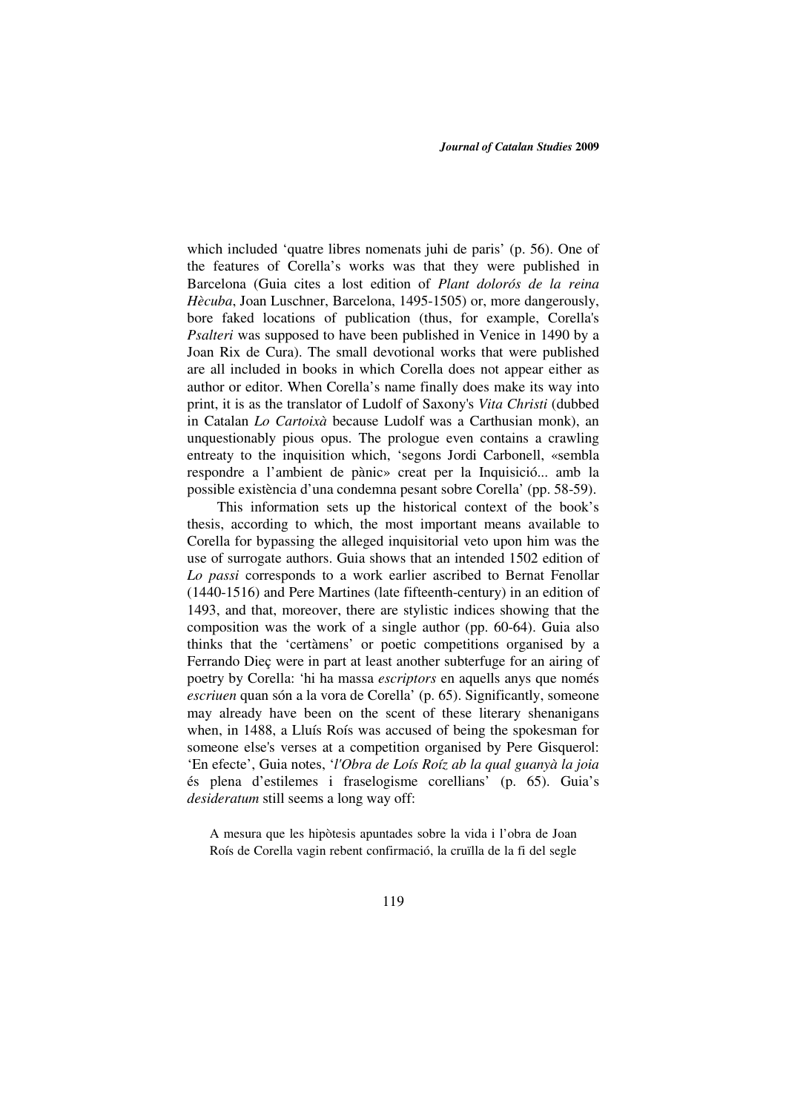which included 'quatre libres nomenats juhi de paris' (p. 56). One of the features of Corella's works was that they were published in Barcelona (Guia cites a lost edition of *Plant dolorós de la reina Hècuba*, Joan Luschner, Barcelona, 1495-1505) or, more dangerously, bore faked locations of publication (thus, for example, Corella's *Psalteri* was supposed to have been published in Venice in 1490 by a Joan Rix de Cura). The small devotional works that were published are all included in books in which Corella does not appear either as author or editor. When Corella's name finally does make its way into print, it is as the translator of Ludolf of Saxony's *Vita Christi* (dubbed in Catalan *Lo Cartoixà* because Ludolf was a Carthusian monk), an unquestionably pious opus. The prologue even contains a crawling entreaty to the inquisition which, 'segons Jordi Carbonell, «sembla respondre a l'ambient de pànic» creat per la Inquisició... amb la possible existència d'una condemna pesant sobre Corella' (pp. 58-59).

 This information sets up the historical context of the book's thesis, according to which, the most important means available to Corella for bypassing the alleged inquisitorial veto upon him was the use of surrogate authors. Guia shows that an intended 1502 edition of *Lo passi* corresponds to a work earlier ascribed to Bernat Fenollar (1440-1516) and Pere Martines (late fifteenth-century) in an edition of 1493, and that, moreover, there are stylistic indices showing that the composition was the work of a single author (pp. 60-64). Guia also thinks that the 'certàmens' or poetic competitions organised by a Ferrando Dieç were in part at least another subterfuge for an airing of poetry by Corella: 'hi ha massa *escriptors* en aquells anys que només *escriuen* quan són a la vora de Corella' (p. 65). Significantly, someone may already have been on the scent of these literary shenanigans when, in 1488, a Lluís Roís was accused of being the spokesman for someone else's verses at a competition organised by Pere Gisquerol: 'En efecte', Guia notes, '*l'Obra de Loís Roíz ab la qual guanyà la joia* és plena d'estilemes i fraselogisme corellians' (p. 65). Guia's *desideratum* still seems a long way off:

A mesura que les hipòtesis apuntades sobre la vida i l'obra de Joan Roís de Corella vagin rebent confirmació, la cruïlla de la fi del segle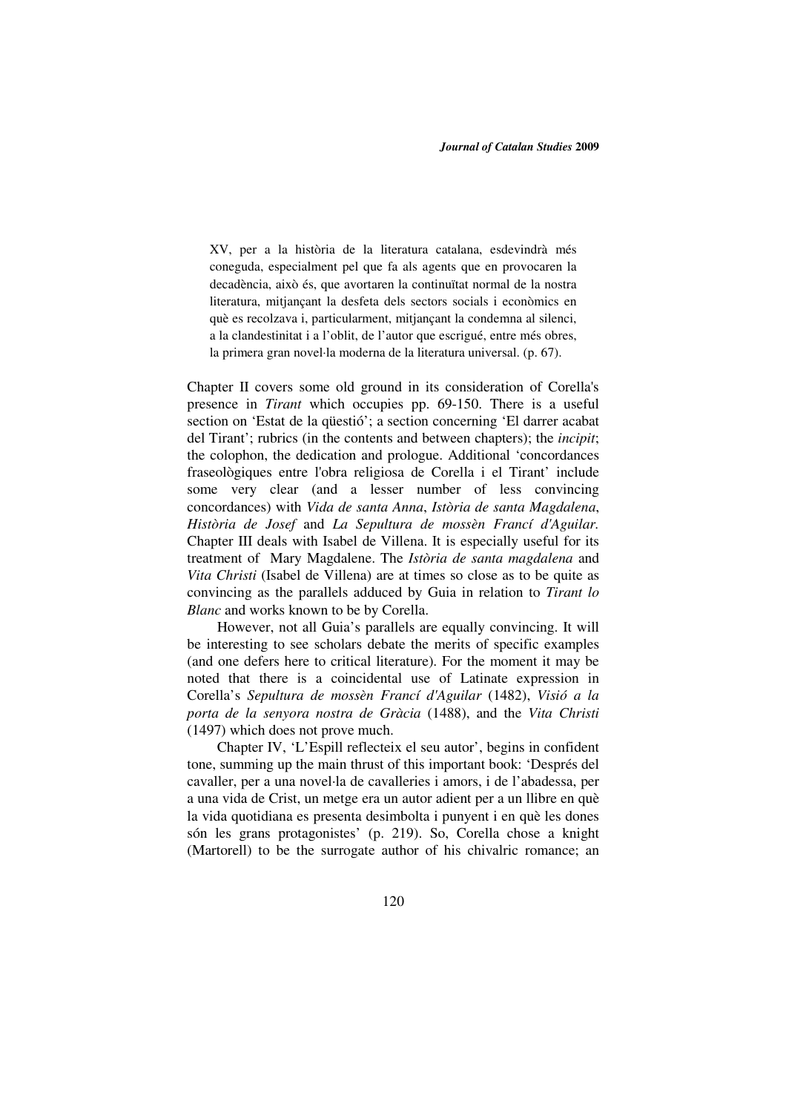XV, per a la història de la literatura catalana, esdevindrà més coneguda, especialment pel que fa als agents que en provocaren la decadència, això és, que avortaren la continuïtat normal de la nostra literatura, mitjançant la desfeta dels sectors socials i econòmics en què es recolzava i, particularment, mitjançant la condemna al silenci, a la clandestinitat i a l'oblit, de l'autor que escrigué, entre més obres, la primera gran novel·la moderna de la literatura universal. (p. 67).

Chapter II covers some old ground in its consideration of Corella's presence in *Tirant* which occupies pp. 69-150. There is a useful section on 'Estat de la qüestió'; a section concerning 'El darrer acabat del Tirant'; rubrics (in the contents and between chapters); the *incipit*; the colophon, the dedication and prologue. Additional 'concordances fraseològiques entre l'obra religiosa de Corella i el Tirant' include some very clear (and a lesser number of less convincing concordances) with *Vida de santa Anna*, *Istòria de santa Magdalena*, *Història de Josef* and *La Sepultura de mossèn Francí d'Aguilar.*  Chapter III deals with Isabel de Villena. It is especially useful for its treatment of Mary Magdalene. The *Istòria de santa magdalena* and *Vita Christi* (Isabel de Villena) are at times so close as to be quite as convincing as the parallels adduced by Guia in relation to *Tirant lo Blanc* and works known to be by Corella.

 However, not all Guia's parallels are equally convincing. It will be interesting to see scholars debate the merits of specific examples (and one defers here to critical literature). For the moment it may be noted that there is a coincidental use of Latinate expression in Corella's *Sepultura de mossèn Francí d'Aguilar* (1482), *Visió a la porta de la senyora nostra de Gràcia* (1488), and the *Vita Christi* (1497) which does not prove much.

 Chapter IV, 'L'Espill reflecteix el seu autor', begins in confident tone, summing up the main thrust of this important book: 'Després del cavaller, per a una novel·la de cavalleries i amors, i de l'abadessa, per a una vida de Crist, un metge era un autor adient per a un llibre en què la vida quotidiana es presenta desimbolta i punyent i en què les dones són les grans protagonistes' (p. 219). So, Corella chose a knight (Martorell) to be the surrogate author of his chivalric romance; an